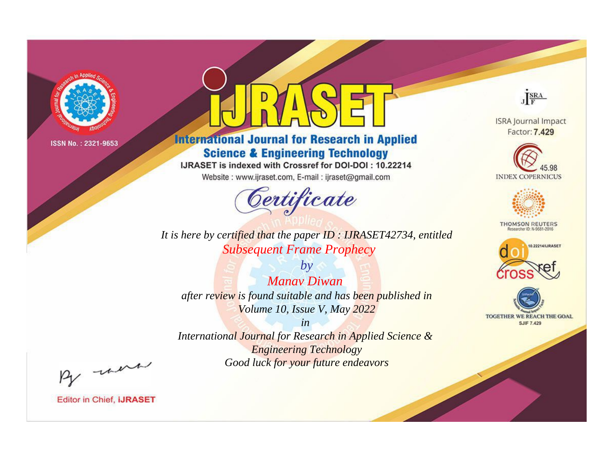

# **International Journal for Research in Applied Science & Engineering Technology**

IJRASET is indexed with Crossref for DOI-DOI: 10.22214

Website: www.ijraset.com, E-mail: ijraset@gmail.com



*It is here by certified that the paper ID : IJRASET42734, entitled Subsequent Frame Prophecy*

*by Manav Diwan after review is found suitable and has been published in Volume 10, Issue V, May 2022*

*in International Journal for Research in Applied Science & Engineering Technology Good luck for your future endeavors*



**ISRA Journal Impact** Factor: 7.429





**THOMSON REUTERS** 





By morn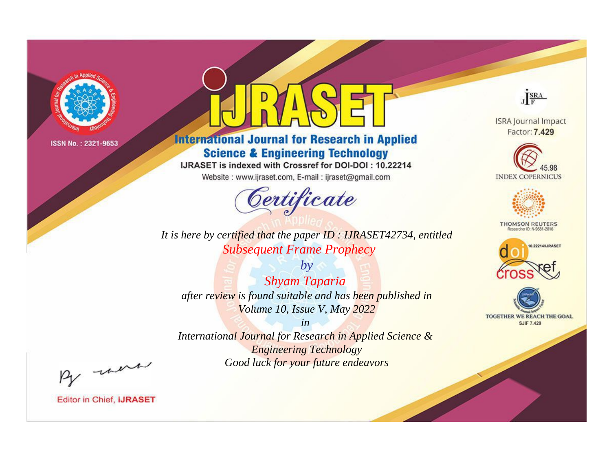

# **International Journal for Research in Applied Science & Engineering Technology**

IJRASET is indexed with Crossref for DOI-DOI: 10.22214

Website: www.ijraset.com, E-mail: ijraset@gmail.com



*It is here by certified that the paper ID : IJRASET42734, entitled Subsequent Frame Prophecy*

*by Shyam Taparia after review is found suitable and has been published in Volume 10, Issue V, May 2022*

*in International Journal for Research in Applied Science & Engineering Technology Good luck for your future endeavors*



**ISRA Journal Impact** Factor: 7.429





**THOMSON REUTERS** 





By morn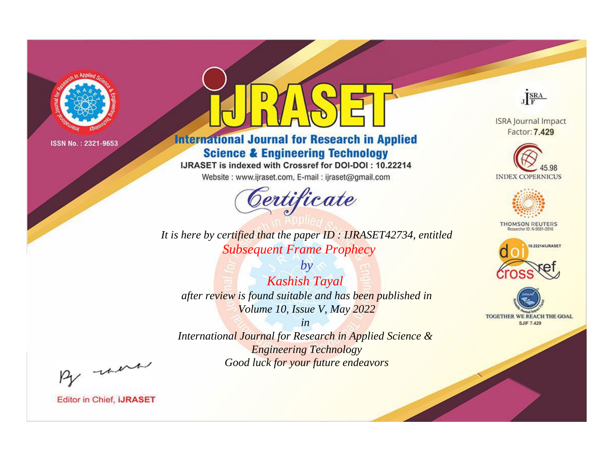

# **International Journal for Research in Applied Science & Engineering Technology**

IJRASET is indexed with Crossref for DOI-DOI: 10.22214

Website: www.ijraset.com, E-mail: ijraset@gmail.com



It is here by certified that the paper ID: IJRASET42734, entitled **Subsequent Frame Prophecy** 

 $by$ **Kashish Tayal** after review is found suitable and has been published in Volume 10, Issue V, May 2022

 $in$ International Journal for Research in Applied Science & **Engineering Technology** Good luck for your future endeavors



**ISRA Journal Impact** Factor: 7.429





**THOMSON REUTERS** 



TOGETHER WE REACH THE GOAL **SJIF 7.429** 

By morn